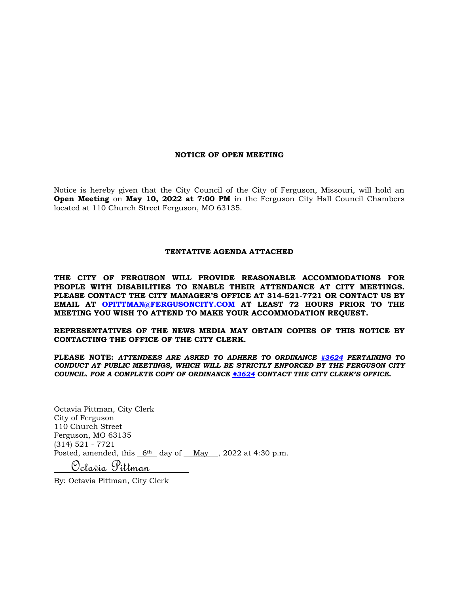### **NOTICE OF OPEN MEETING**

Notice is hereby given that the City Council of the City of Ferguson, Missouri, will hold an **Open Meeting** on **May 10, 2022 at 7:00 PM** in the Ferguson City Hall Council Chambers located at 110 Church Street Ferguson, MO 63135.

### **TENTATIVE AGENDA ATTACHED**

**THE CITY OF FERGUSON WILL PROVIDE REASONABLE ACCOMMODATIONS FOR PEOPLE WITH DISABILITIES TO ENABLE THEIR ATTENDANCE AT CITY MEETINGS. PLEASE CONTACT THE CITY MANAGER'S OFFICE AT 314-521-7721 OR CONTACT US BY EMAIL AT OPITTMAN@FERGUSONCITY.COM AT LEAST 72 HOURS PRIOR TO THE MEETING YOU WISH TO ATTEND TO MAKE YOUR ACCOMMODATION REQUEST.**

**REPRESENTATIVES OF THE NEWS MEDIA MAY OBTAIN COPIES OF THIS NOTICE BY CONTACTING THE OFFICE OF THE CITY CLERK.**

**PLEASE NOTE:** *ATTENDEES ARE ASKED TO ADHERE TO ORDINANCE [#3624](https://www.fergusoncity.com/DocumentCenter/View/3634/Ord-2016-3624-Amending-Chapt-2-addition-of-Sec-2-32-Conduct-at-Public-Mtgs) PERTAINING TO CONDUCT AT PUBLIC MEETINGS, WHICH WILL BE STRICTLY ENFORCED BY THE FERGUSON CITY COUNCIL. FOR A COMPLETE COPY OF ORDINANCE [#3624](https://www.fergusoncity.com/DocumentCenter/View/3634/Ord-2016-3624-Amending-Chapt-2-addition-of-Sec-2-32-Conduct-at-Public-Mtgs) CONTACT THE CITY CLERK'S OFFICE***.**

Octavia Pittman, City Clerk City of Ferguson 110 Church Street Ferguson, MO 63135 (314) 521 - 7721 Posted, amended, this  $6th$  day of May , 2022 at 4:30 p.m.

Octavia Pittman

By: Octavia Pittman, City Clerk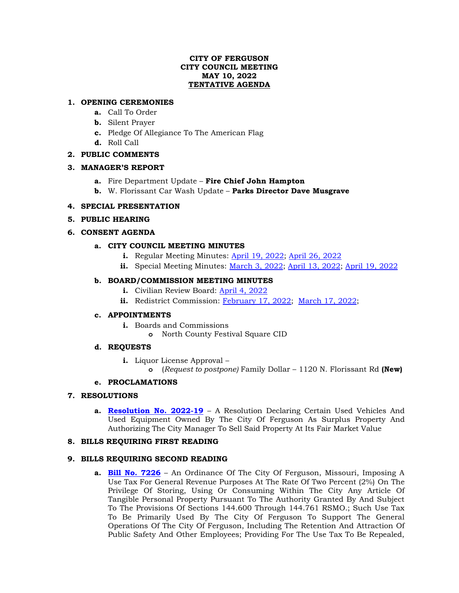## **CITY OF FERGUSON CITY COUNCIL MEETING MAY 10, 2022 TENTATIVE AGENDA**

## **1. OPENING CEREMONIES**

- **a.** Call To Order
- **b.** Silent Prayer
- **c.** Pledge Of Allegiance To The American Flag
- **d.** Roll Call

# **2. PUBLIC COMMENTS**

# **3. MANAGER'S REPORT**

- **a.** Fire Department Update **Fire Chief John Hampton**
- **b.** W. Florissant Car Wash Update **Parks Director Dave Musgrave**

# **4. SPECIAL PRESENTATION**

# **5. PUBLIC HEARING**

# **6. CONSENT AGENDA**

# **a. CITY COUNCIL MEETING MINUTES**

- **i.** Regular Meeting Minutes: [April 19, 2022;](https://www.fergusoncity.com/DocumentCenter/View/5840/Council-Meeting-Minutes-041922-combined) [April 26, 2022](https://www.fergusoncity.com/DocumentCenter/View/5846/Council-Meeting-Minutes-042622)
- **ii.** Special Meeting Minutes: [March 3,](https://www.fergusoncity.com/DocumentCenter/View/5845/Council-special-meeting-minutes-030322) 2022; [April 13, 2022;](https://www.fergusoncity.com/DocumentCenter/View/5833/Council-special-meeting-minutes-041322) [April 19, 2022](https://www.fergusoncity.com/DocumentCenter/View/5834/Council-special-meeting-minutes-041922)

# **b. BOARD/COMMISSION MEETING MINUTES**

- **i.** Civilian Review Board: [April 4, 2022](https://www.fergusoncity.com/DocumentCenter/View/5844/FCRB-Open-Meeting-Minutes-04042022)
- ii. Redistrict Commission: [February 17, 2022;](https://www.fergusoncity.com/DocumentCenter/View/5843/Redistrict-MINUTES-021722) [March 17, 2022;](https://www.fergusoncity.com/DocumentCenter/View/5837/Redist-Comm-min-31722)

# **c. APPOINTMENTS**

- **i.** Boards and Commissions
	- **o** North County Festival Square CID

# **d. REQUESTS**

- **i.** Liquor License Approval
	- **o** (*Request to postpone)* Family Dollar 1120 N. Florissant Rd **(New)**

# **e. PROCLAMATIONS**

# **7. RESOLUTIONS**

**a. [Resolution No. 2022-19](https://www.fergusoncity.com/DocumentCenter/View/5838/Resolution-No-2022-19-Surplus-Vehicles-and--Equipment)** – A Resolution Declaring Certain Used Vehicles And Used Equipment Owned By The City Of Ferguson As Surplus Property And Authorizing The City Manager To Sell Said Property At Its Fair Market Value

# **8. BILLS REQUIRING FIRST READING**

# **9. BILLS REQUIRING SECOND READING**

**a. [Bill No. 7226](https://www.fergusoncity.com/DocumentCenter/View/5796/Bill-No-7226-2022-xxxx-PROP-U-local-use-tax)** – An Ordinance Of The City Of Ferguson, Missouri, Imposing A Use Tax For General Revenue Purposes At The Rate Of Two Percent (2%) On The Privilege Of Storing, Using Or Consuming Within The City Any Article Of Tangible Personal Property Pursuant To The Authority Granted By And Subject To The Provisions Of Sections 144.600 Through 144.761 RSMO.; Such Use Tax To Be Primarily Used By The City Of Ferguson To Support The General Operations Of The City Of Ferguson, Including The Retention And Attraction Of Public Safety And Other Employees; Providing For The Use Tax To Be Repealed,